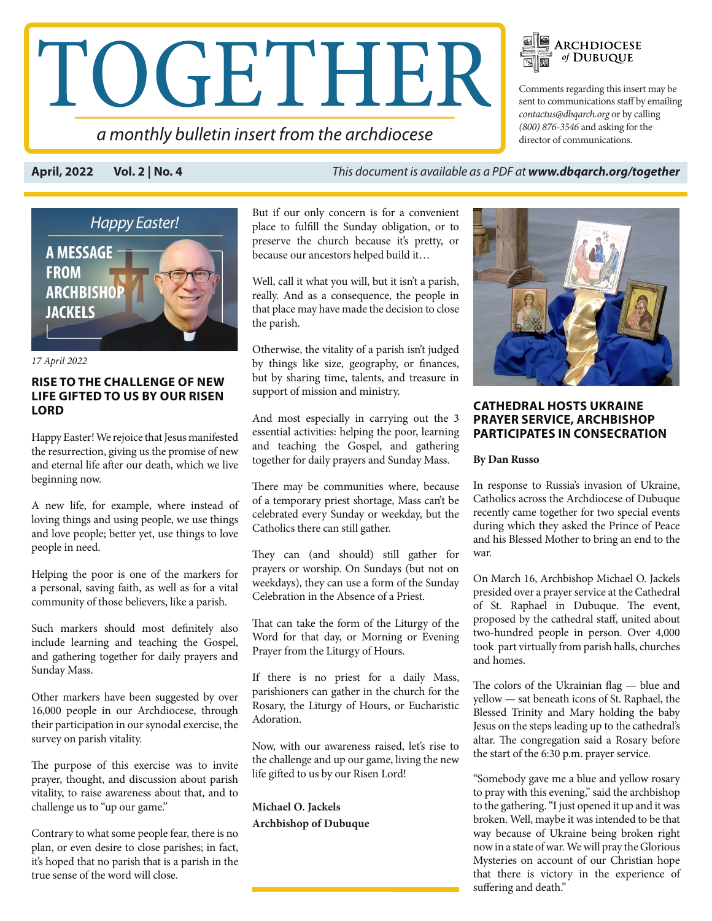# TOGETHER

a monthly bulletin insert from the archdiocese

Comments regarding this insert may be sent to communications staff by emailing *contactus@dbqarch.org* or by calling *(800) 876-3546* and asking for the director of communications.

**ARCHDIOCESE**<br>of DUBUQUE

**April, 2022 Vol. 2 | No. 4** *This document is available as a PDF at www.dbqarch.org/together*

 $\mathbb{Z}$   $\mathbb{Z}$ 



*17 April 2022* 

# **RISE TO THE CHALLENGE OF NEW LIFE GIFTED TO US BY OUR RISEN LORD**

Happy Easter! We rejoice that Jesus manifested the resurrection, giving us the promise of new and eternal life after our death, which we live beginning now.

A new life, for example, where instead of loving things and using people, we use things and love people; better yet, use things to love people in need.

Helping the poor is one of the markers for a personal, saving faith, as well as for a vital community of those believers, like a parish.

Such markers should most definitely also include learning and teaching the Gospel, and gathering together for daily prayers and Sunday Mass.

Other markers have been suggested by over 16,000 people in our Archdiocese, through their participation in our synodal exercise, the survey on parish vitality.

The purpose of this exercise was to invite prayer, thought, and discussion about parish vitality, to raise awareness about that, and to challenge us to "up our game."

Contrary to what some people fear, there is no plan, or even desire to close parishes; in fact, it's hoped that no parish that is a parish in the true sense of the word will close.

But if our only concern is for a convenient place to fulfill the Sunday obligation, or to preserve the church because it's pretty, or because our ancestors helped build it…

Well, call it what you will, but it isn't a parish, really. And as a consequence, the people in that place may have made the decision to close the parish.

Otherwise, the vitality of a parish isn't judged by things like size, geography, or finances, but by sharing time, talents, and treasure in support of mission and ministry.

And most especially in carrying out the 3 essential activities: helping the poor, learning and teaching the Gospel, and gathering together for daily prayers and Sunday Mass.

There may be communities where, because of a temporary priest shortage, Mass can't be celebrated every Sunday or weekday, but the Catholics there can still gather.

They can (and should) still gather for prayers or worship. On Sundays (but not on weekdays), they can use a form of the Sunday Celebration in the Absence of a Priest.

That can take the form of the Liturgy of the Word for that day, or Morning or Evening Prayer from the Liturgy of Hours.

If there is no priest for a daily Mass, parishioners can gather in the church for the Rosary, the Liturgy of Hours, or Eucharistic Adoration.

Now, with our awareness raised, let's rise to the challenge and up our game, living the new life gifted to us by our Risen Lord!

**Michael O. Jackels Archbishop of Dubuque** 



# **CATHEDRAL HOSTS UKRAINE PRAYER SERVICE, ARCHBISHOP PARTICIPATES IN CONSECRATION**

# **By Dan Russo**

In response to Russia's invasion of Ukraine, Catholics across the Archdiocese of Dubuque recently came together for two special events during which they asked the Prince of Peace and his Blessed Mother to bring an end to the war.

On March 16, Archbishop Michael O. Jackels presided over a prayer service at the Cathedral of St. Raphael in Dubuque. The event, proposed by the cathedral staff, united about two-hundred people in person. Over 4,000 took part virtually from parish halls, churches and homes.

The colors of the Ukrainian flag — blue and yellow — sat beneath icons of St. Raphael, the Blessed Trinity and Mary holding the baby Jesus on the steps leading up to the cathedral's altar. The congregation said a Rosary before the start of the 6:30 p.m. prayer service.

"Somebody gave me a blue and yellow rosary to pray with this evening," said the archbishop to the gathering. "I just opened it up and it was broken. Well, maybe it was intended to be that way because of Ukraine being broken right now in a state of war. We will pray the Glorious Mysteries on account of our Christian hope that there is victory in the experience of suffering and death."